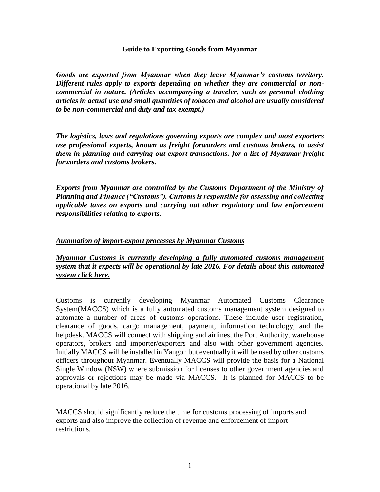#### **Guide to Exporting Goods from Myanmar**

*Goods are exported from Myanmar when they leave Myanmar's customs territory. Different rules apply to exports depending on whether they are commercial or noncommercial in nature. (Articles accompanying a traveler, such as personal clothing articles in actual use and small quantities of tobacco and alcohol are usually considered to be non-commercial and duty and tax exempt.)*

*The logistics, laws and regulations governing exports are complex and most exporters use professional experts, known as freight forwarders and customs brokers, to assist them in planning and carrying out export transactions. for a list of Myanmar freight forwarders and customs brokers.*

*Exports from Myanmar are controlled by the Customs Department of the Ministry of Planning and Finance ("Customs"). Customs is responsible for assessing and collecting applicable taxes on exports and carrying out other regulatory and law enforcement responsibilities relating to exports.* 

### *Automation of import-export processes by Myanmar Customs*

*Myanmar Customs is currently developing a fully automated customs management system that it expects will be operational by late 2016. For details about this automated system click here.*

Customs is currently developing Myanmar Automated Customs Clearance System(MACCS) which is a fully automated customs management system designed to automate a number of areas of customs operations. These include user registration, clearance of goods, cargo management, payment, information technology, and the helpdesk. MACCS will connect with shipping and airlines, the Port Authority, warehouse operators, brokers and importer/exporters and also with other government agencies. Initially MACCS will be installed in Yangon but eventually it will be used by other customs officers throughout Myanmar. Eventually MACCS will provide the basis for a National Single Window (NSW) where submission for licenses to other government agencies and approvals or rejections may be made via MACCS. It is planned for MACCS to be operational by late 2016.

MACCS should significantly reduce the time for customs processing of imports and exports and also improve the collection of revenue and enforcement of import restrictions.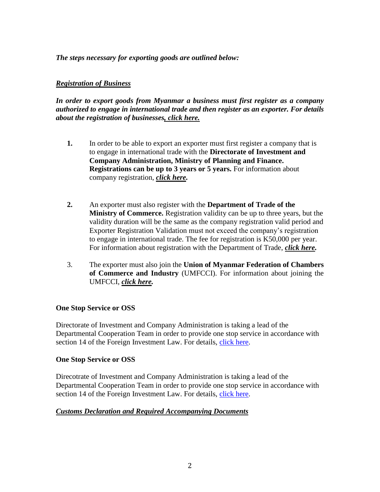*The steps necessary for exporting goods are outlined below:*

# *Registration of Business*

*In order to export goods from Myanmar a business must first register as a company authorized to engage in international trade and then register as an exporter. For details about the registration of businesses, click here.*

- **1.** In order to be able to export an exporter must first register a company that is to engage in international trade with the **Directorate of Investment and Company Administration, Ministry of Planning and Finance. Registrations can be up to 3 years or 5 years.** For information about company registration, *click here.*
- **2.** An exporter must also register with the **Department of Trade of the Ministry of Commerce.** Registration validity can be up to three years, but the validity duration will be the same as the company registration valid period and Exporter Registration Validation must not exceed the company's registration to engage in international trade. The fee for registration is K50,000 per year. For information about registration with the Department of Trade, *click here.*
- 3. The exporter must also join the **Union of Myanmar Federation of Chambers of Commerce and Industry** (UMFCCI). For information about joining the UMFCCI, *click here.*

## **One Stop Service or OSS**

Directorate of Investment and Company Administration is taking a lead of the Departmental Cooperation Team in order to provide one stop service in accordance with section 14 of the Foreign Investment Law. For details, [click here.](http://dica.gov.mm/en/information-departmental-cooperation-team-one-stop-service-or-oss)

## **One Stop Service or OSS**

Direcotrate of Investment and Company Administration is taking a lead of the Departmental Cooperation Team in order to provide one stop service in accordance with section 14 of the Foreign Investment Law. For details, [click here.](http://dica.gov.mm/en/information-departmental-cooperation-team-one-stop-service-or-oss)

## *Customs Declaration and Required Accompanying Documents*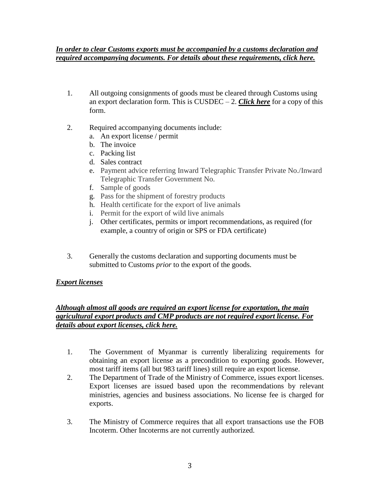### *In order to clear Customs exports must be accompanied by a customs declaration and required accompanying documents. For details about these requirements, click here.*

- 1. All outgoing consignments of goods must be cleared through Customs using an export declaration form. This is CUSDEC – 2. *Click here* for a copy of this form.
- 2. Required accompanying documents include:
	- a. An export license / permit
	- b. The invoice
	- c. Packing list
	- d. Sales contract
	- e. Payment advice referring Inward Telegraphic Transfer Private No./Inward Telegraphic Transfer Government No.
	- f. Sample of goods
	- g. Pass for the shipment of forestry products
	- h. Health certificate for the export of live animals
	- i. Permit for the export of wild live animals
	- j. Other certificates, permits or import recommendations, as required (for example, a country of origin or SPS or FDA certificate)
- 3. Generally the customs declaration and supporting documents must be submitted to Customs *prior* to the export of the goods.

## *Export licenses*

## *Although almost all goods are required an export license for exportation, the main agricultural export products and CMP products are not required export license. For details about export licenses, click here.*

- 1. The Government of Myanmar is currently liberalizing requirements for obtaining an export license as a precondition to exporting goods. However, most tariff items (all but 983 tariff lines) still require an export license.
- 2. The Department of Trade of the Ministry of Commerce, issues export licenses. Export licenses are issued based upon the recommendations by relevant ministries, agencies and business associations. No license fee is charged for exports.
- 3. The Ministry of Commerce requires that all export transactions use the FOB Incoterm. Other Incoterms are not currently authorized.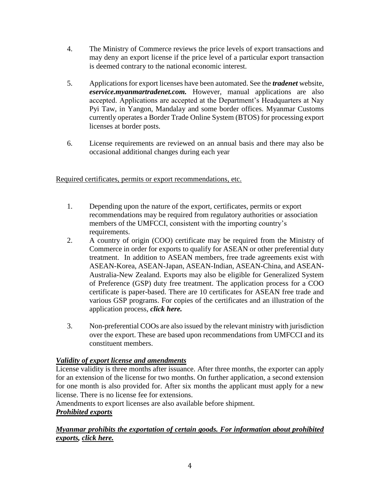- 4. The Ministry of Commerce reviews the price levels of export transactions and may deny an export license if the price level of a particular export transaction is deemed contrary to the national economic interest.
- 5. Applications for export licenses have been automated. See the *tradenet* website, *eservice.myanmartradenet.com.* However, manual applications are also accepted. Applications are accepted at the Department's Headquarters at Nay Pyi Taw, in Yangon, Mandalay and some border offices. Myanmar Customs currently operates a Border Trade Online System (BTOS) for processing export licenses at border posts.
- 6. License requirements are reviewed on an annual basis and there may also be occasional additional changes during each year

Required certificates, permits or export recommendations, etc.

- 1. Depending upon the nature of the export, certificates, permits or export recommendations may be required from regulatory authorities or association members of the UMFCCI, consistent with the importing country's requirements.
- 2. A country of origin (COO) certificate may be required from the Ministry of Commerce in order for exports to qualify for ASEAN or other preferential duty treatment. In addition to ASEAN members, free trade agreements exist with ASEAN-Korea, ASEAN-Japan, ASEAN-Indian, ASEAN-China, and ASEAN-Australia-New Zealand. Exports may also be eligible for Generalized System of Preference (GSP) duty free treatment. The application process for a COO certificate is paper-based. There are 10 certificates for ASEAN free trade and various GSP programs. For copies of the certificates and an illustration of the application process, *click here.*
- 3. Non-preferential COOs are also issued by the relevant ministry with jurisdiction over the export. These are based upon recommendations from UMFCCI and its constituent members.

# *Validity of export license and amendments*

License validity is three months after issuance. After three months, the exporter can apply for an extension of the license for two months. On further application, a second extension for one month is also provided for. After six months the applicant must apply for a new license. There is no license fee for extensions.

Amendments to export licenses are also available before shipment. *Prohibited exports*

# *Myanmar prohibits the exportation of certain goods. For information about prohibited exports, click here.*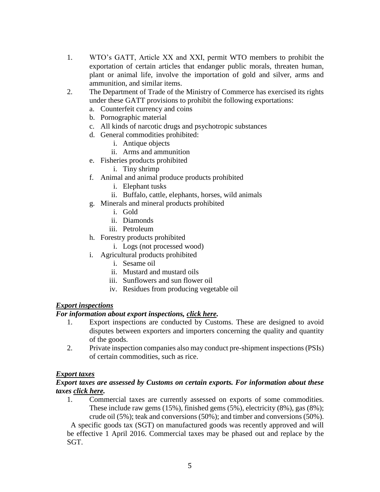- 1. WTO's GATT, Article XX and XXI, permit WTO members to prohibit the exportation of certain articles that endanger public morals, threaten human, plant or animal life, involve the importation of gold and silver, arms and ammunition, and similar items.
- 2. The Department of Trade of the Ministry of Commerce has exercised its rights under these GATT provisions to prohibit the following exportations:
	- a. Counterfeit currency and coins
	- b. Pornographic material
	- c. All kinds of narcotic drugs and psychotropic substances
	- d. General commodities prohibited:
		- i. Antique objects
		- ii. Arms and ammunition
	- e. Fisheries products prohibited
		- i. Tiny shrimp
	- f. Animal and animal produce products prohibited
		- i. Elephant tusks
		- ii. Buffalo, cattle, elephants, horses, wild animals
	- g. Minerals and mineral products prohibited
		- i. Gold
		- ii. Diamonds
		- iii. Petroleum
	- h. Forestry products prohibited
		- i. Logs (not processed wood)
	- i. Agricultural products prohibited
		- i. Sesame oil
		- ii. Mustard and mustard oils
		- iii. Sunflowers and sun flower oil
		- iv. Residues from producing vegetable oil

# *Export inspections*

## *For information about export inspections, click here.*

- 1. Export inspections are conducted by Customs. These are designed to avoid disputes between exporters and importers concerning the quality and quantity of the goods.
- 2. Private inspection companies also may conduct pre-shipment inspections (PSIs) of certain commodities, such as rice.

## *Export taxes*

### *Export taxes are assessed by Customs on certain exports. For information about these taxes click here.*

1. Commercial taxes are currently assessed on exports of some commodities. These include raw gems (15%), finished gems (5%), electricity (8%), gas (8%); crude oil (5%); teak and conversions (50%); and timber and conversions (50%).

 A specific goods tax (SGT) on manufactured goods was recently approved and will be effective 1 April 2016. Commercial taxes may be phased out and replace by the SGT.